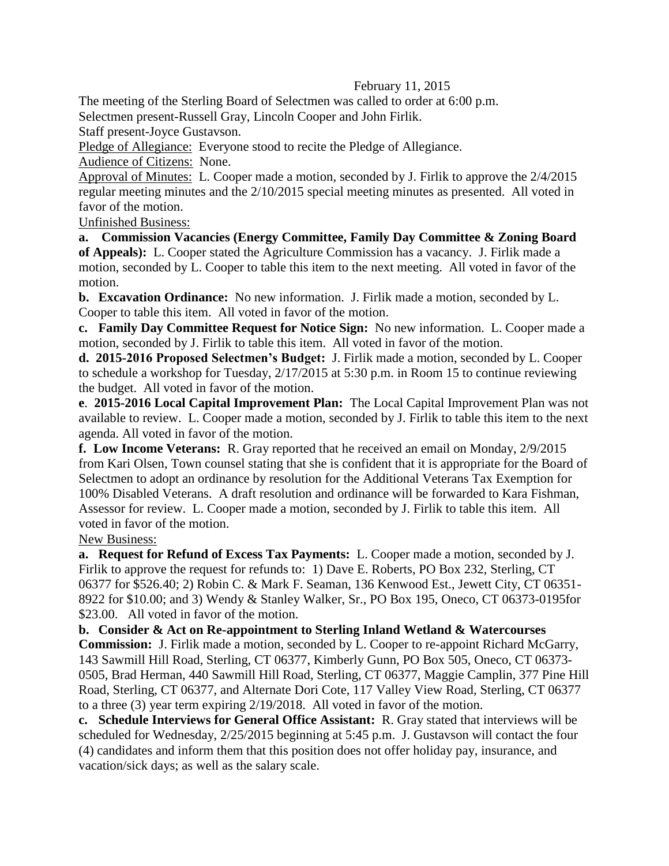## February 11, 2015

The meeting of the Sterling Board of Selectmen was called to order at 6:00 p.m.

Selectmen present-Russell Gray, Lincoln Cooper and John Firlik.

Staff present-Joyce Gustavson.

Pledge of Allegiance: Everyone stood to recite the Pledge of Allegiance.

Audience of Citizens: None.

Approval of Minutes: L. Cooper made a motion, seconded by J. Firlik to approve the 2/4/2015 regular meeting minutes and the 2/10/2015 special meeting minutes as presented. All voted in favor of the motion.

Unfinished Business:

**a. Commission Vacancies (Energy Committee, Family Day Committee & Zoning Board of Appeals):** L. Cooper stated the Agriculture Commission has a vacancy. J. Firlik made a motion, seconded by L. Cooper to table this item to the next meeting. All voted in favor of the motion.

**b. Excavation Ordinance:** No new information. J. Firlik made a motion, seconded by L. Cooper to table this item. All voted in favor of the motion.

**c. Family Day Committee Request for Notice Sign:** No new information. L. Cooper made a motion, seconded by J. Firlik to table this item. All voted in favor of the motion.

**d. 2015-2016 Proposed Selectmen's Budget:** J. Firlik made a motion, seconded by L. Cooper to schedule a workshop for Tuesday, 2/17/2015 at 5:30 p.m. in Room 15 to continue reviewing the budget. All voted in favor of the motion.

**e**. **2015-2016 Local Capital Improvement Plan:** The Local Capital Improvement Plan was not available to review. L. Cooper made a motion, seconded by J. Firlik to table this item to the next agenda. All voted in favor of the motion.

**f. Low Income Veterans:** R. Gray reported that he received an email on Monday, 2/9/2015 from Kari Olsen, Town counsel stating that she is confident that it is appropriate for the Board of Selectmen to adopt an ordinance by resolution for the Additional Veterans Tax Exemption for 100% Disabled Veterans. A draft resolution and ordinance will be forwarded to Kara Fishman, Assessor for review. L. Cooper made a motion, seconded by J. Firlik to table this item. All voted in favor of the motion.

New Business:

**a. Request for Refund of Excess Tax Payments:** L. Cooper made a motion, seconded by J. Firlik to approve the request for refunds to: 1) Dave E. Roberts, PO Box 232, Sterling, CT 06377 for \$526.40; 2) Robin C. & Mark F. Seaman, 136 Kenwood Est., Jewett City, CT 06351- 8922 for \$10.00; and 3) Wendy & Stanley Walker, Sr., PO Box 195, Oneco, CT 06373-0195for \$23.00. All voted in favor of the motion.

**b. Consider & Act on Re-appointment to Sterling Inland Wetland & Watercourses** 

**Commission:** J. Firlik made a motion, seconded by L. Cooper to re-appoint Richard McGarry, 143 Sawmill Hill Road, Sterling, CT 06377, Kimberly Gunn, PO Box 505, Oneco, CT 06373- 0505, Brad Herman, 440 Sawmill Hill Road, Sterling, CT 06377, Maggie Camplin, 377 Pine Hill Road, Sterling, CT 06377, and Alternate Dori Cote, 117 Valley View Road, Sterling, CT 06377 to a three (3) year term expiring 2/19/2018. All voted in favor of the motion.

**c. Schedule Interviews for General Office Assistant:** R. Gray stated that interviews will be scheduled for Wednesday, 2/25/2015 beginning at 5:45 p.m. J. Gustavson will contact the four (4) candidates and inform them that this position does not offer holiday pay, insurance, and vacation/sick days; as well as the salary scale.